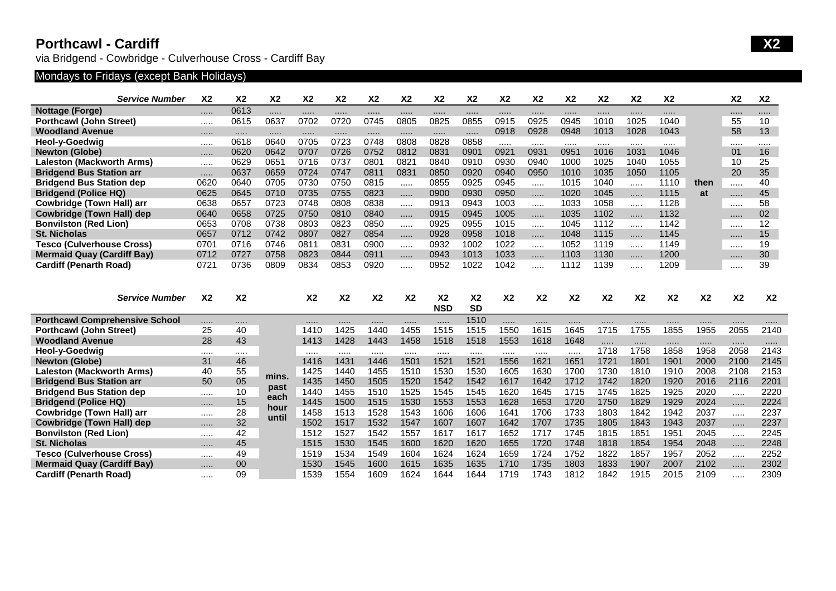## **Porthcawl - Cardiff X2**

via Bridgend - Cowbridge - Culverhouse Cross - Cardiff Bay

# Mondays to Fridays (except Bank Holidays)

| <b>Service Number</b>                                                   | X <sub>2</sub> | X <sub>2</sub> | X <sub>2</sub>                                   | X <sub>2</sub> | X <sub>2</sub> | X <sub>2</sub> | X <sub>2</sub> | X <sub>2</sub>               | X <sub>2</sub>              | X <sub>2</sub> | <b>X2</b>      | X <sub>2</sub> | X <sub>2</sub> | X <sub>2</sub> | X <sub>2</sub> |                | X <sub>2</sub> | <b>X2</b>      |
|-------------------------------------------------------------------------|----------------|----------------|--------------------------------------------------|----------------|----------------|----------------|----------------|------------------------------|-----------------------------|----------------|----------------|----------------|----------------|----------------|----------------|----------------|----------------|----------------|
| <b>Nottage (Forge)</b>                                                  |                | 0613           |                                                  |                | .              |                |                |                              |                             |                |                | .              |                |                |                |                |                |                |
| <b>Porthcawl (John Street)</b>                                          |                | 0615           | 0637                                             | 0702           | 0720           | 0745           | 0805           | 0825                         | 0855                        | 0915           | 0925           | 0945           | 1010           | 1025           | 1040           |                | 55             | 10             |
| <b>Woodland Avenue</b>                                                  |                |                | <br>0640<br>0642<br>0651<br>0659<br>0705<br>0710 |                | .              |                |                |                              | $\cdots$                    | 0918           | 0928           | 0948           | 1013           | 1028           | 1043           |                | 58             | 13             |
| <b>Heol-y-Goedwig</b>                                                   |                | 0618           |                                                  | 0705           | 0723           | 0748           | 0808           | 0828                         | 0858                        |                |                |                |                |                |                |                |                |                |
| <b>Newton (Globe)</b>                                                   |                | 0620           |                                                  | 0707           | 0726           | 0752           | 0812           | 0831                         | 0901                        | 0921           | 0931           | 0951           | 1016           | 1031           | 1046           |                | 01             | 16             |
| <b>Laleston (Mackworth Arms)</b>                                        |                | 0629           |                                                  | 0716           | 0737           | 0801           | 0821           | 0840                         | 0910                        | 0930           | 0940           | 1000           | 1025           | 1040           | 1055           |                | 10             | 25             |
| <b>Bridgend Bus Station arr</b>                                         |                | 0637           |                                                  | 0724           | 0747           | 0811           | 0831           | 0850                         | 0920                        | 0940           | 0950           | 1010           | 1035           | 1050           | 1105           |                | 20             | 35             |
| <b>Bridgend Bus Station dep</b>                                         | 0620           | 0640           |                                                  | 0730           | 0750           | 0815           |                | 0855                         | 0925                        | 0945           |                | 1015           | 1040           |                | 1110           | then           |                | 40             |
| <b>Bridgend (Police HQ)</b>                                             | 0625           | 0645           |                                                  | 0735           | 0755           | 0823           |                | 0900                         | 0930                        | 0950           | .              | 1020           | 1045           | .              | 1115           | at             |                | 45             |
| Cowbridge (Town Hall) arr                                               | 0638           | 0657           | 0723                                             | 0748           | 0808           | 0838           |                | 0913                         | 0943                        | 1003           |                | 1033           | 1058           |                | 1128           |                |                | 58             |
| Cowbridge (Town Hall) dep                                               | 0640           | 0658           | 0725<br>0738<br>0742<br>0746                     | 0750           | 0810           | 0840           |                | 0915                         | 0945                        | 1005           |                | 1035           | 1102           | .              | 1132           |                |                | 02             |
| <b>Bonvilston (Red Lion)</b>                                            | 0653           | 0708           |                                                  | 0803           | 0823           | 0850           |                | 0925                         | 0955                        | 1015           |                | 1045           | 1112           |                | 1142           |                |                | 12             |
| <b>St. Nicholas</b>                                                     | 0657           | 0712           |                                                  | 0807           | 0827           | 0854           |                | 0928                         | 0958                        | 1018           | .              | 1048           | 1115           | .              | 1145           |                |                | 15             |
| <b>Tesco (Culverhouse Cross)</b>                                        | 0701           | 0716           |                                                  | 0811           | 0831           | 0900           |                | 0932                         | 1002                        | 1022           |                | 1052           | 1119           |                | 1149           |                |                | 19             |
| <b>Mermaid Quay (Cardiff Bay)</b>                                       | 0712           | 0727           | 0758                                             | 0823           | 0844           | 0911           |                | 0943                         | 1013                        | 1033           | .              | 1103           | 1130           |                | 1200           |                |                | 30             |
| <b>Cardiff (Penarth Road)</b>                                           | 0721           | 0736           | 0809                                             | 0834           | 0853           | 0920           | .              | 0952                         | 1022                        | 1042           |                | 1112           | 1139           |                | 1209           |                |                | 39             |
|                                                                         |                |                |                                                  |                |                |                |                |                              |                             |                |                |                |                |                |                |                |                |                |
| <b>Service Number</b>                                                   | X <sub>2</sub> | X <sub>2</sub> |                                                  | X <sub>2</sub> | X <sub>2</sub> | X <sub>2</sub> | X <sub>2</sub> | X <sub>2</sub><br><b>NSD</b> | X <sub>2</sub><br><b>SD</b> | X <sub>2</sub> | X <sub>2</sub> | X <sub>2</sub> | X <sub>2</sub> | X <sub>2</sub> | X <sub>2</sub> | X <sub>2</sub> | X <sub>2</sub> | X <sub>2</sub> |
|                                                                         |                |                |                                                  | .              | .              | .              |                |                              |                             |                |                |                |                |                |                |                |                |                |
| <b>Porthcawl Comprehensive School</b><br><b>Porthcawl (John Street)</b> | <br>25         | .<br>40        |                                                  | 1410           | 1425           | 1440           | <br>1455       | .<br>1515                    | 1510<br>1515                | .<br>1550      | <br>1615       | <br>1645       | .<br>1715      | <br>1755       | 1855           | 1955           | <br>2055       | <br>2140       |
| <b>Woodland Avenue</b>                                                  | 28             | 43             |                                                  | 1413           | 1428           | 1443           | 1458           | 1518                         | 1518                        | 1553           | 1618           | 1648           | .              |                |                |                |                |                |
| Heol-y-Goedwig                                                          |                |                |                                                  |                | .              | .              |                |                              |                             |                |                |                | 1718           | 1758           | 1858           | 1958           | 2058           | 2143           |
| <b>Newton (Globe)</b>                                                   | 31             | 46             |                                                  | 1416           | 1431           | 1446           | 1501           | 1521                         | 1521                        | 1556           | 1621           | 1651           | 1721           | 1801           | 1901           | 2000           | 2100           | 2145           |
| <b>Laleston (Mackworth Arms)</b>                                        | 40             | 55             |                                                  | 1425           | 1440           | 1455           | 1510           | 1530                         | 1530                        | 1605           | 1630           | 1700           | 1730           | 1810           | 1910           | 2008           | 2108           | 2153           |
| <b>Bridgend Bus Station arr</b>                                         | 50             | 05             | mins.                                            | 1435           | 1450           | 1505           | 1520           | 1542                         | 1542                        | 1617           | 1642           | 1712           | 1742           | 1820           | 1920           | 2016           | 2116           | 2201           |
| <b>Bridgend Bus Station dep</b>                                         |                | 10             | past                                             | 1440           | 1455           | 1510           | 1525           | 1545                         | 1545                        | 1620           | 1645           | 1715           | 1745           | 1825           | 1925           | 2020           |                | 2220           |
| <b>Bridgend (Police HQ)</b>                                             | .              | 15             | each                                             | 1445           | 1500           | 1515           | 1530           | 1553                         | 1553                        | 1628           | 1653           | 1720           | 1750           | 1829           | 1929           | 2024           |                | 2224           |
| <b>Cowbridge (Town Hall) arr</b>                                        |                | 28             | hour                                             | 1458           | 1513           | 1528           | 1543           | 1606                         | 1606                        | 1641           | 1706           | 1733           | 1803           | 1842           | 1942           | 2037           |                | 2237           |
| <b>Cowbridge (Town Hall) dep</b>                                        |                | 32             | until                                            | 1502           | 1517           | 1532           | 1547           | 1607                         | 1607                        | 1642           | 1707           | 1735           | 1805           | 1843           | 1943           | 2037           |                | 2237           |
| <b>Bonvilston (Red Lion)</b>                                            |                | 42             |                                                  | 1512           | 1527           | 1542           | 1557           | 1617                         | 1617                        | 1652           | 1717           | 1745           | 1815           | 1851           | 1951           | 2045           |                | 2245           |
| <b>St. Nicholas</b>                                                     | $\cdots$       | 45             |                                                  | 1515           | 1530           | 1545           | 1600           | 1620                         | 1620                        | 1655           | 1720           | 1748           | 1818           | 1854           | 1954           | 2048           | .              | 2248           |
| <b>Tesco (Culverhouse Cross)</b>                                        |                | 49             |                                                  | 1519           | 1534           | 1549           | 1604           | 1624                         | 1624                        | 1659           | 1724           | 1752           | 1822           | 1857           | 1957           | 2052           |                | 2252           |
| <b>Mermaid Quay (Cardiff Bay)</b><br><b>Cardiff (Penarth Road)</b>      |                | 00<br>09       |                                                  | 1530<br>1539   | 1545<br>1554   | 1600<br>1609   | 1615<br>1624   | 1635<br>1644                 | 1635<br>1644                | 1710<br>1719   | 1735<br>1743   | 1803<br>1812   | 1833<br>1842   | 1907<br>1915   | 2007<br>2015   | 2102<br>2109   | .              | 2302<br>2309   |